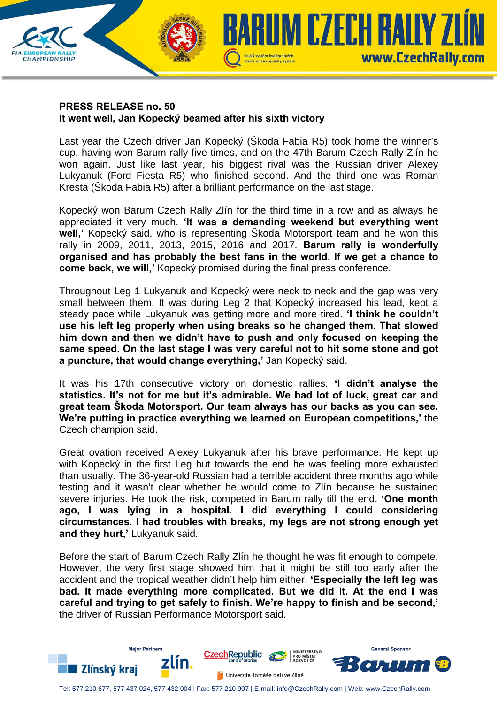

## **PRESS RELEASE no. 50 It went well, Jan Kopecký beamed after his sixth victory**

Last year the Czech driver Jan Kopecký (Škoda Fabia R5) took home the winner's cup, having won Barum rally five times, and on the 47th Barum Czech Rally Zlín he won again. Just like last year, his biggest rival was the Russian driver Alexey Lukyanuk (Ford Fiesta R5) who finished second. And the third one was Roman Kresta (Škoda Fabia R5) after a brilliant performance on the last stage.

Kopecký won Barum Czech Rally Zlín for the third time in a row and as always he appreciated it very much. **'It was a demanding weekend but everything went well,'** Kopecký said, who is representing Škoda Motorsport team and he won this rally in 2009, 2011, 2013, 2015, 2016 and 2017. **Barum rally is wonderfully organised and has probably the best fans in the world. If we get a chance to come back, we will,'** Kopecký promised during the final press conference.

Throughout Leg 1 Lukyanuk and Kopecký were neck to neck and the gap was very small between them. It was during Leg 2 that Kopecký increased his lead, kept a steady pace while Lukyanuk was getting more and more tired. **'I think he couldn't use his left leg properly when using breaks so he changed them. That slowed him down and then we didn't have to push and only focused on keeping the same speed. On the last stage I was very careful not to hit some stone and got a puncture, that would change everything,'** Jan Kopecký said.

It was his 17th consecutive victory on domestic rallies. **'I didn't analyse the statistics. It's not for me but it's admirable. We had lot of luck, great car and great team Škoda Motorsport. Our team always has our backs as you can see. We're putting in practice everything we learned on European competitions,'** the Czech champion said.

Great ovation received Alexey Lukyanuk after his brave performance. He kept up with Kopecký in the first Leg but towards the end he was feeling more exhausted than usually. The 36-year-old Russian had a terrible accident three months ago while testing and it wasn't clear whether he would come to Zlín because he sustained severe injuries. He took the risk, competed in Barum rally till the end. **'One month ago, I was lying in a hospital. I did everything I could considering circumstances. I had troubles with breaks, my legs are not strong enough yet and they hurt,'** Lukyanuk said.

Before the start of Barum Czech Rally Zlín he thought he was fit enough to compete. However, the very first stage showed him that it might be still too early after the accident and the tropical weather didn't help him either. **'Especially the left leg was bad. It made everything more complicated. But we did it. At the end I was careful and trying to get safely to finish. We're happy to finish and be second,'** the driver of Russian Performance Motorsport said.